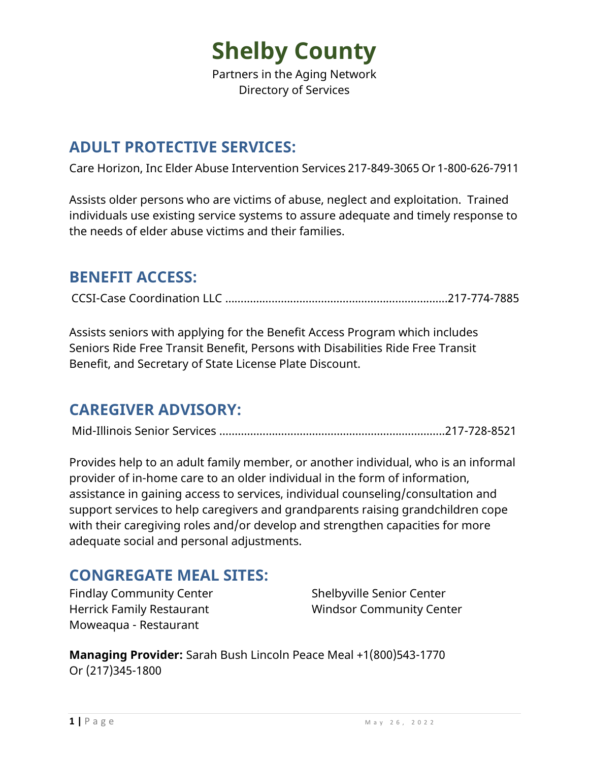**Shelby County** Partners in the Aging Network Directory of Services

#### **ADULT PROTECTIVE SERVICES:**

Care Horizon, Inc Elder Abuse Intervention Services 217-849-3065 Or 1-800-626-7911

Assists older persons who are victims of abuse, neglect and exploitation. Trained individuals use existing service systems to assure adequate and timely response to the needs of elder abuse victims and their families.

#### **BENEFIT ACCESS:**

CCSI-Case Coordination LLC …………………....……………………………….….…...217-774-7885

Assists seniors with applying for the Benefit Access Program which includes Seniors Ride Free Transit Benefit, Persons with Disabilities Ride Free Transit Benefit, and Secretary of State License Plate Discount.

#### **CAREGIVER ADVISORY:**

Mid-Illinois Senior Services …………………....………………………………..….…...217-728-8521

Provides help to an adult family member, or another individual, who is an informal provider of in-home care to an older individual in the form of information, assistance in gaining access to services, individual counseling/consultation and support services to help caregivers and grandparents raising grandchildren cope with their caregiving roles and/or develop and strengthen capacities for more adequate social and personal adjustments.

#### **CONGREGATE MEAL SITES:**

Moweaqua - Restaurant

Findlay Community Center Shelbyville Senior Center Herrick Family Restaurant Windsor Community Center

**Managing Provider:** Sarah Bush Lincoln Peace Meal +1(800)543-1770 Or (217)345-1800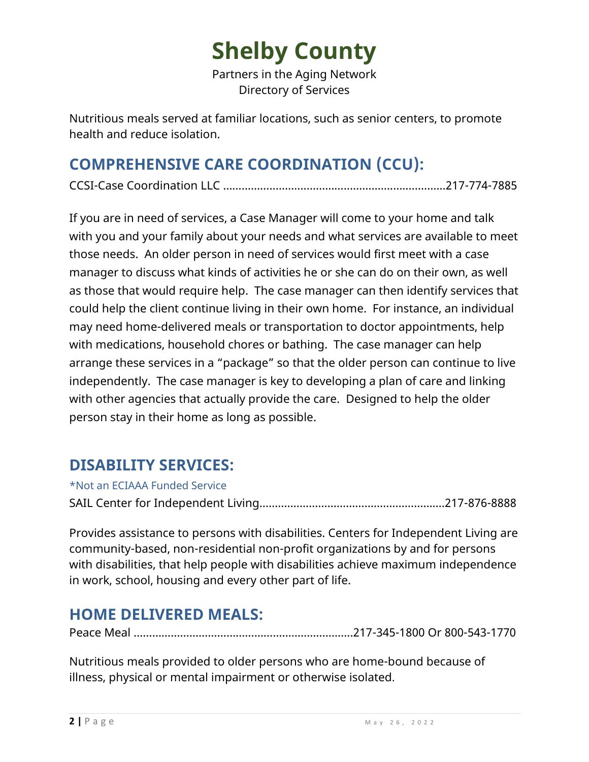## **Shelby County**

Partners in the Aging Network Directory of Services

Nutritious meals served at familiar locations, such as senior centers, to promote health and reduce isolation.

### **COMPREHENSIVE CARE COORDINATION (CCU):**

CCSI-Case Coordination LLC ……………..……....……………………….…….….…...217-774-7885

If you are in need of services, a Case Manager will come to your home and talk with you and your family about your needs and what services are available to meet those needs. An older person in need of services would first meet with a case manager to discuss what kinds of activities he or she can do on their own, as well as those that would require help. The case manager can then identify services that could help the client continue living in their own home. For instance, an individual may need home-delivered meals or transportation to doctor appointments, help with medications, household chores or bathing. The case manager can help arrange these services in a "package" so that the older person can continue to live independently. The case manager is key to developing a plan of care and linking with other agencies that actually provide the care. Designed to help the older person stay in their home as long as possible.

#### **DISABILITY SERVICES:**

\*Not an ECIAAA Funded Service

SAIL Center for Independent Living………………………….….…………………….217-876-8888

Provides assistance to persons with disabilities. Centers for Independent Living are community-based, non-residential non-profit organizations by and for persons with disabilities, that help people with disabilities achieve maximum independence in work, school, housing and every other part of life.

### **HOME DELIVERED MEALS:**

Peace Meal ……………………………………………………………..217-345-1800 Or 800-543-1770

Nutritious meals provided to older persons who are home-bound because of illness, physical or mental impairment or otherwise isolated.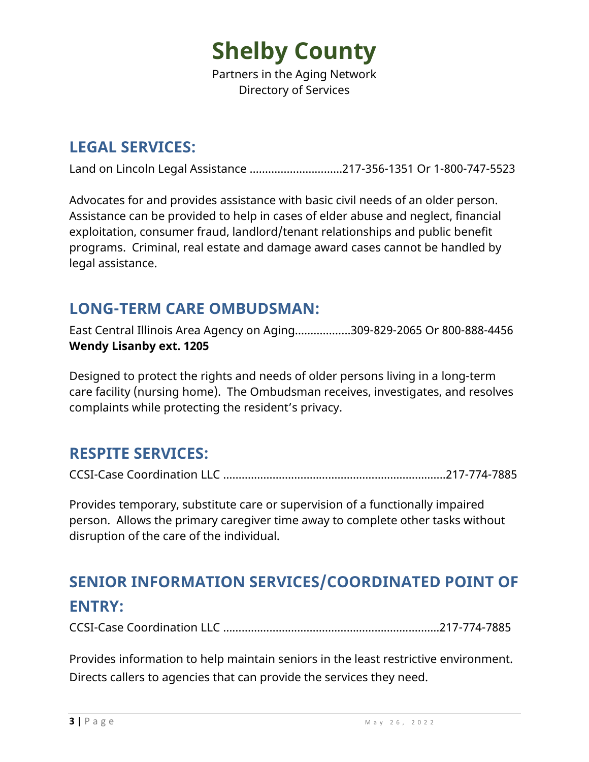### **Shelby County**

Partners in the Aging Network Directory of Services

#### **LEGAL SERVICES:**

Land on Lincoln Legal Assistance …………………………217-356-1351 Or 1-800-747-5523

Advocates for and provides assistance with basic civil needs of an older person. Assistance can be provided to help in cases of elder abuse and neglect, financial exploitation, consumer fraud, landlord/tenant relationships and public benefit programs. Criminal, real estate and damage award cases cannot be handled by legal assistance.

#### **LONG-TERM CARE OMBUDSMAN:**

East Central Illinois Area Agency on Aging……………...309-829-2065 Or 800-888-4456 **Wendy Lisanby ext. 1205**

Designed to protect the rights and needs of older persons living in a long-term care facility (nursing home). The Ombudsman receives, investigates, and resolves complaints while protecting the resident's privacy.

#### **RESPITE SERVICES:**

CCSI-Case Coordination LLC …………………....………………………...…….….…...217-774-7885

Provides temporary, substitute care or supervision of a functionally impaired person. Allows the primary caregiver time away to complete other tasks without disruption of the care of the individual.

### **SENIOR INFORMATION SERVICES/COORDINATED POINT OF ENTRY:**

CCSI-Case Coordination LLC …………………....……………………….…….….…...217-774-7885

Provides information to help maintain seniors in the least restrictive environment. Directs callers to agencies that can provide the services they need.